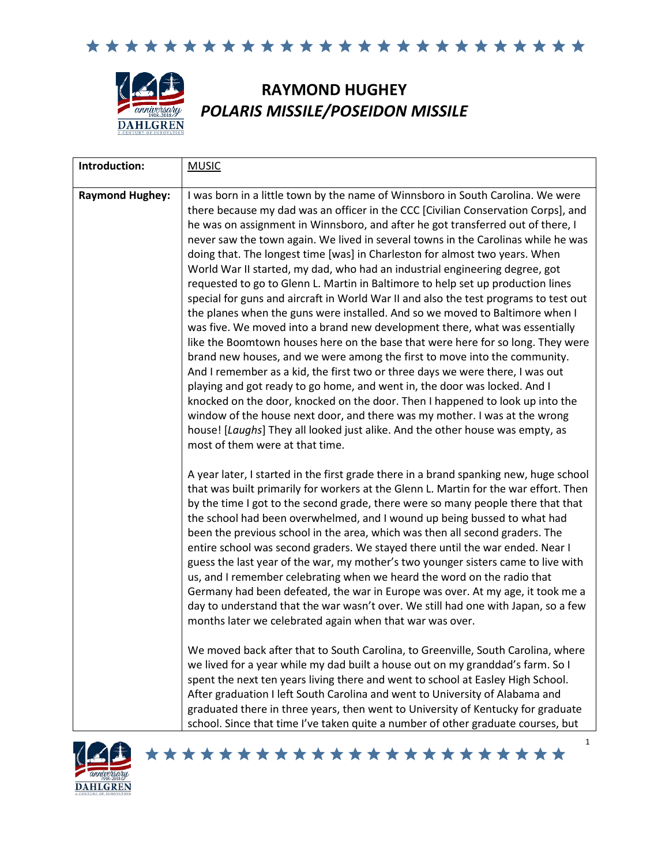

# **RAYMOND HUGHEY** *POLARIS MISSILE/POSEIDON MISSILE*

| Introduction:          | <b>MUSIC</b>                                                                                                                                                                                                                                                                                                                                                                                                                                                                                                                                                                                                                                                                                                                                                                                                                                                                                                                                                                                                                                                                                                                                                                                                                                                                                                                                                                                                                                                          |
|------------------------|-----------------------------------------------------------------------------------------------------------------------------------------------------------------------------------------------------------------------------------------------------------------------------------------------------------------------------------------------------------------------------------------------------------------------------------------------------------------------------------------------------------------------------------------------------------------------------------------------------------------------------------------------------------------------------------------------------------------------------------------------------------------------------------------------------------------------------------------------------------------------------------------------------------------------------------------------------------------------------------------------------------------------------------------------------------------------------------------------------------------------------------------------------------------------------------------------------------------------------------------------------------------------------------------------------------------------------------------------------------------------------------------------------------------------------------------------------------------------|
| <b>Raymond Hughey:</b> | I was born in a little town by the name of Winnsboro in South Carolina. We were<br>there because my dad was an officer in the CCC [Civilian Conservation Corps], and<br>he was on assignment in Winnsboro, and after he got transferred out of there, I<br>never saw the town again. We lived in several towns in the Carolinas while he was<br>doing that. The longest time [was] in Charleston for almost two years. When<br>World War II started, my dad, who had an industrial engineering degree, got<br>requested to go to Glenn L. Martin in Baltimore to help set up production lines<br>special for guns and aircraft in World War II and also the test programs to test out<br>the planes when the guns were installed. And so we moved to Baltimore when I<br>was five. We moved into a brand new development there, what was essentially<br>like the Boomtown houses here on the base that were here for so long. They were<br>brand new houses, and we were among the first to move into the community.<br>And I remember as a kid, the first two or three days we were there, I was out<br>playing and got ready to go home, and went in, the door was locked. And I<br>knocked on the door, knocked on the door. Then I happened to look up into the<br>window of the house next door, and there was my mother. I was at the wrong<br>house! [Laughs] They all looked just alike. And the other house was empty, as<br>most of them were at that time. |
|                        | A year later, I started in the first grade there in a brand spanking new, huge school<br>that was built primarily for workers at the Glenn L. Martin for the war effort. Then<br>by the time I got to the second grade, there were so many people there that that<br>the school had been overwhelmed, and I wound up being bussed to what had<br>been the previous school in the area, which was then all second graders. The<br>entire school was second graders. We stayed there until the war ended. Near I<br>guess the last year of the war, my mother's two younger sisters came to live with<br>us, and I remember celebrating when we heard the word on the radio that<br>Germany had been defeated, the war in Europe was over. At my age, it took me a<br>day to understand that the war wasn't over. We still had one with Japan, so a few<br>months later we celebrated again when that war was over.<br>We moved back after that to South Carolina, to Greenville, South Carolina, where<br>we lived for a year while my dad built a house out on my granddad's farm. So I<br>spent the next ten years living there and went to school at Easley High School.<br>After graduation I left South Carolina and went to University of Alabama and<br>graduated there in three years, then went to University of Kentucky for graduate<br>school. Since that time I've taken quite a number of other graduate courses, but                                    |

\*\*\*\*\*\*\*\*\*\*\*\*\*\*\*\*\*\*\*\*\*\*\*

1

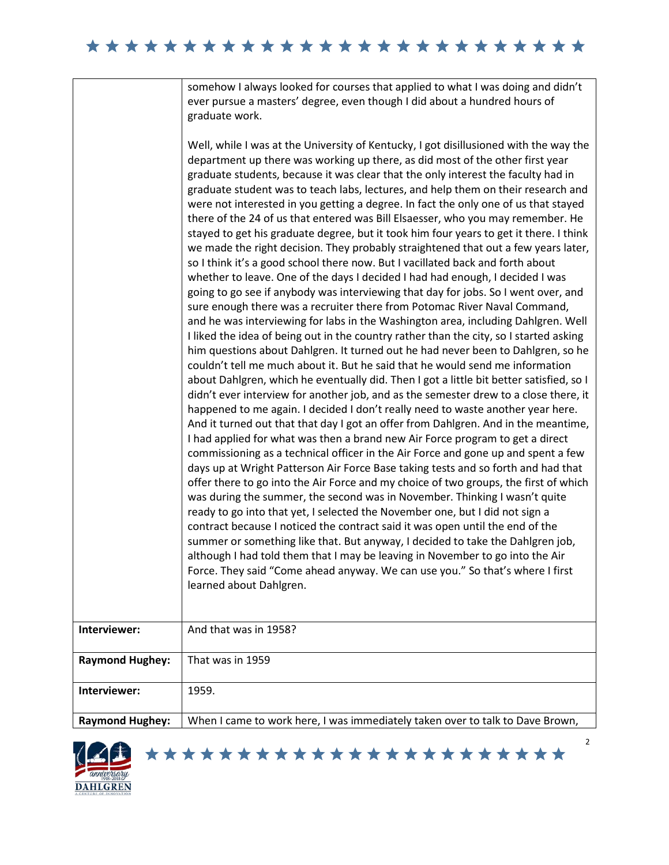## 

somehow I always looked for courses that applied to what I was doing and didn't ever pursue a masters' degree, even though I did about a hundred hours of graduate work.

Well, while I was at the University of Kentucky, I got disillusioned with the way the department up there was working up there, as did most of the other first year graduate students, because it was clear that the only interest the faculty had in graduate student was to teach labs, lectures, and help them on their research and were not interested in you getting a degree. In fact the only one of us that stayed there of the 24 of us that entered was Bill Elsaesser, who you may remember. He stayed to get his graduate degree, but it took him four years to get it there. I think we made the right decision. They probably straightened that out a few years later, so I think it's a good school there now. But I vacillated back and forth about whether to leave. One of the days I decided I had had enough, I decided I was going to go see if anybody was interviewing that day for jobs. So I went over, and sure enough there was a recruiter there from Potomac River Naval Command, and he was interviewing for labs in the Washington area, including Dahlgren. Well I liked the idea of being out in the country rather than the city, so I started asking him questions about Dahlgren. It turned out he had never been to Dahlgren, so he couldn't tell me much about it. But he said that he would send me information about Dahlgren, which he eventually did. Then I got a little bit better satisfied, so I didn't ever interview for another job, and as the semester drew to a close there, it happened to me again. I decided I don't really need to waste another year here. And it turned out that that day I got an offer from Dahlgren. And in the meantime, I had applied for what was then a brand new Air Force program to get a direct commissioning as a technical officer in the Air Force and gone up and spent a few days up at Wright Patterson Air Force Base taking tests and so forth and had that offer there to go into the Air Force and my choice of two groups, the first of which was during the summer, the second was in November. Thinking I wasn't quite ready to go into that yet, I selected the November one, but I did not sign a contract because I noticed the contract said it was open until the end of the summer or something like that. But anyway, I decided to take the Dahlgren job, although I had told them that I may be leaving in November to go into the Air Force. They said "Come ahead anyway. We can use you." So that's where I first learned about Dahlgren. **Interviewer:** | And that was in 1958?

| <b>Raymond Hughey:</b> | That was in 1959                                                              |
|------------------------|-------------------------------------------------------------------------------|
|                        |                                                                               |
| Interviewer:           | 1959.                                                                         |
|                        |                                                                               |
| <b>Raymond Hughey:</b> | When I came to work here, I was immediately taken over to talk to Dave Brown, |
|                        |                                                                               |



2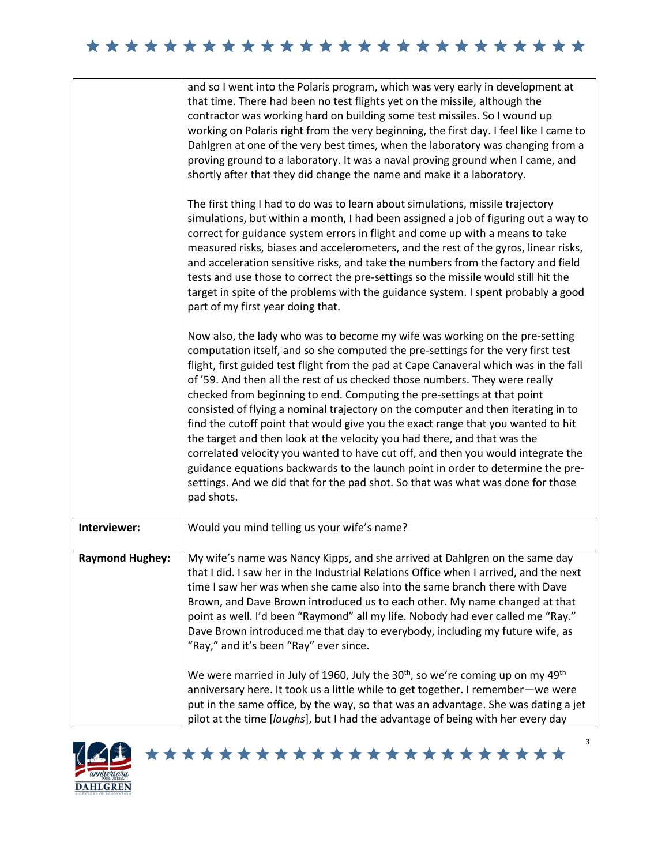| ************************* |  |
|---------------------------|--|
|---------------------------|--|

|                        | and so I went into the Polaris program, which was very early in development at<br>that time. There had been no test flights yet on the missile, although the<br>contractor was working hard on building some test missiles. So I wound up<br>working on Polaris right from the very beginning, the first day. I feel like I came to<br>Dahlgren at one of the very best times, when the laboratory was changing from a<br>proving ground to a laboratory. It was a naval proving ground when I came, and<br>shortly after that they did change the name and make it a laboratory.<br>The first thing I had to do was to learn about simulations, missile trajectory<br>simulations, but within a month, I had been assigned a job of figuring out a way to<br>correct for guidance system errors in flight and come up with a means to take<br>measured risks, biases and accelerometers, and the rest of the gyros, linear risks,<br>and acceleration sensitive risks, and take the numbers from the factory and field<br>tests and use those to correct the pre-settings so the missile would still hit the<br>target in spite of the problems with the guidance system. I spent probably a good<br>part of my first year doing that. |
|------------------------|-----------------------------------------------------------------------------------------------------------------------------------------------------------------------------------------------------------------------------------------------------------------------------------------------------------------------------------------------------------------------------------------------------------------------------------------------------------------------------------------------------------------------------------------------------------------------------------------------------------------------------------------------------------------------------------------------------------------------------------------------------------------------------------------------------------------------------------------------------------------------------------------------------------------------------------------------------------------------------------------------------------------------------------------------------------------------------------------------------------------------------------------------------------------------------------------------------------------------------------------|
|                        | Now also, the lady who was to become my wife was working on the pre-setting<br>computation itself, and so she computed the pre-settings for the very first test<br>flight, first guided test flight from the pad at Cape Canaveral which was in the fall<br>of '59. And then all the rest of us checked those numbers. They were really<br>checked from beginning to end. Computing the pre-settings at that point<br>consisted of flying a nominal trajectory on the computer and then iterating in to<br>find the cutoff point that would give you the exact range that you wanted to hit<br>the target and then look at the velocity you had there, and that was the<br>correlated velocity you wanted to have cut off, and then you would integrate the<br>guidance equations backwards to the launch point in order to determine the pre-<br>settings. And we did that for the pad shot. So that was what was done for those<br>pad shots.                                                                                                                                                                                                                                                                                         |
| Interviewer:           | Would you mind telling us your wife's name?                                                                                                                                                                                                                                                                                                                                                                                                                                                                                                                                                                                                                                                                                                                                                                                                                                                                                                                                                                                                                                                                                                                                                                                             |
| <b>Raymond Hughey:</b> | My wife's name was Nancy Kipps, and she arrived at Dahlgren on the same day<br>that I did. I saw her in the Industrial Relations Office when I arrived, and the next<br>time I saw her was when she came also into the same branch there with Dave<br>Brown, and Dave Brown introduced us to each other. My name changed at that<br>point as well. I'd been "Raymond" all my life. Nobody had ever called me "Ray."<br>Dave Brown introduced me that day to everybody, including my future wife, as<br>"Ray," and it's been "Ray" ever since.<br>We were married in July of 1960, July the $30th$ , so we're coming up on my $49th$                                                                                                                                                                                                                                                                                                                                                                                                                                                                                                                                                                                                     |
|                        | anniversary here. It took us a little while to get together. I remember-we were<br>put in the same office, by the way, so that was an advantage. She was dating a jet<br>pilot at the time [laughs], but I had the advantage of being with her every day                                                                                                                                                                                                                                                                                                                                                                                                                                                                                                                                                                                                                                                                                                                                                                                                                                                                                                                                                                                |

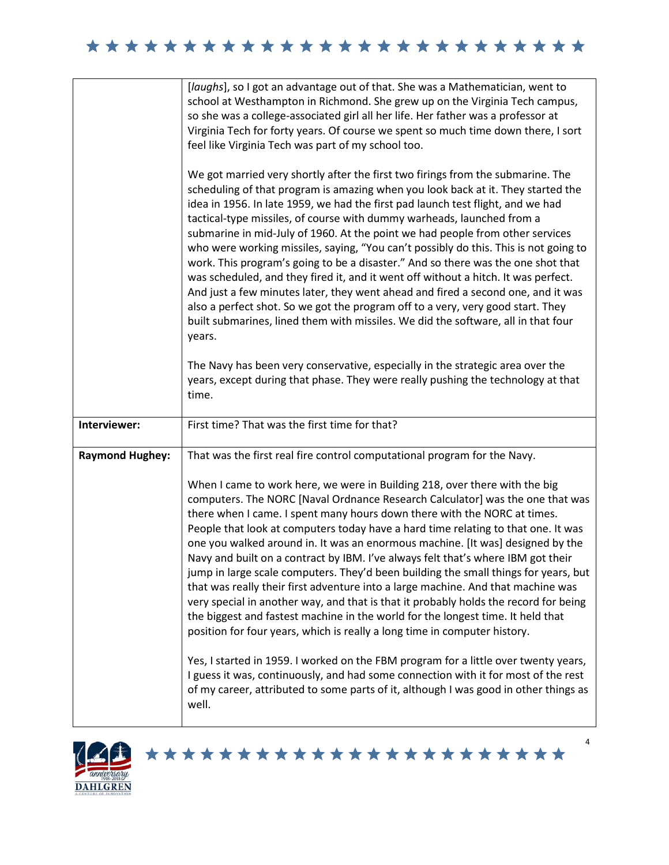|                        | [laughs], so I got an advantage out of that. She was a Mathematician, went to<br>school at Westhampton in Richmond. She grew up on the Virginia Tech campus,<br>so she was a college-associated girl all her life. Her father was a professor at<br>Virginia Tech for forty years. Of course we spent so much time down there, I sort<br>feel like Virginia Tech was part of my school too.<br>We got married very shortly after the first two firings from the submarine. The<br>scheduling of that program is amazing when you look back at it. They started the<br>idea in 1956. In late 1959, we had the first pad launch test flight, and we had<br>tactical-type missiles, of course with dummy warheads, launched from a<br>submarine in mid-July of 1960. At the point we had people from other services<br>who were working missiles, saying, "You can't possibly do this. This is not going to<br>work. This program's going to be a disaster." And so there was the one shot that<br>was scheduled, and they fired it, and it went off without a hitch. It was perfect.<br>And just a few minutes later, they went ahead and fired a second one, and it was<br>also a perfect shot. So we got the program off to a very, very good start. They<br>built submarines, lined them with missiles. We did the software, all in that four<br>years.<br>The Navy has been very conservative, especially in the strategic area over the<br>years, except during that phase. They were really pushing the technology at that |
|------------------------|--------------------------------------------------------------------------------------------------------------------------------------------------------------------------------------------------------------------------------------------------------------------------------------------------------------------------------------------------------------------------------------------------------------------------------------------------------------------------------------------------------------------------------------------------------------------------------------------------------------------------------------------------------------------------------------------------------------------------------------------------------------------------------------------------------------------------------------------------------------------------------------------------------------------------------------------------------------------------------------------------------------------------------------------------------------------------------------------------------------------------------------------------------------------------------------------------------------------------------------------------------------------------------------------------------------------------------------------------------------------------------------------------------------------------------------------------------------------------------------------------------------------------------|
|                        | time.                                                                                                                                                                                                                                                                                                                                                                                                                                                                                                                                                                                                                                                                                                                                                                                                                                                                                                                                                                                                                                                                                                                                                                                                                                                                                                                                                                                                                                                                                                                          |
| Interviewer:           | First time? That was the first time for that?                                                                                                                                                                                                                                                                                                                                                                                                                                                                                                                                                                                                                                                                                                                                                                                                                                                                                                                                                                                                                                                                                                                                                                                                                                                                                                                                                                                                                                                                                  |
| <b>Raymond Hughey:</b> | That was the first real fire control computational program for the Navy.<br>When I came to work here, we were in Building 218, over there with the big<br>computers. The NORC [Naval Ordnance Research Calculator] was the one that was<br>there when I came. I spent many hours down there with the NORC at times.<br>People that look at computers today have a hard time relating to that one. It was<br>one you walked around in. It was an enormous machine. [It was] designed by the<br>Navy and built on a contract by IBM. I've always felt that's where IBM got their<br>jump in large scale computers. They'd been building the small things for years, but<br>that was really their first adventure into a large machine. And that machine was<br>very special in another way, and that is that it probably holds the record for being<br>the biggest and fastest machine in the world for the longest time. It held that<br>position for four years, which is really a long time in computer history.<br>Yes, I started in 1959. I worked on the FBM program for a little over twenty years,<br>I guess it was, continuously, and had some connection with it for most of the rest<br>of my career, attributed to some parts of it, although I was good in other things as<br>well.                                                                                                                                                                                                                                |

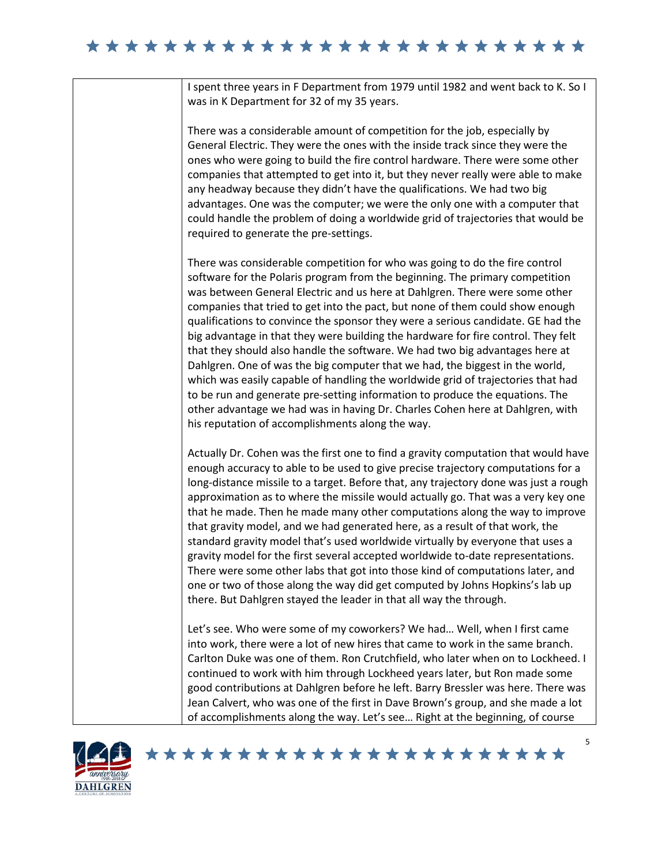I spent three years in F Department from 1979 until 1982 and went back to K. So I was in K Department for 32 of my 35 years.

There was a considerable amount of competition for the job, especially by General Electric. They were the ones with the inside track since they were the ones who were going to build the fire control hardware. There were some other companies that attempted to get into it, but they never really were able to make any headway because they didn't have the qualifications. We had two big advantages. One was the computer; we were the only one with a computer that could handle the problem of doing a worldwide grid of trajectories that would be required to generate the pre-settings.

There was considerable competition for who was going to do the fire control software for the Polaris program from the beginning. The primary competition was between General Electric and us here at Dahlgren. There were some other companies that tried to get into the pact, but none of them could show enough qualifications to convince the sponsor they were a serious candidate. GE had the big advantage in that they were building the hardware for fire control. They felt that they should also handle the software. We had two big advantages here at Dahlgren. One of was the big computer that we had, the biggest in the world, which was easily capable of handling the worldwide grid of trajectories that had to be run and generate pre-setting information to produce the equations. The other advantage we had was in having Dr. Charles Cohen here at Dahlgren, with his reputation of accomplishments along the way.

Actually Dr. Cohen was the first one to find a gravity computation that would have enough accuracy to able to be used to give precise trajectory computations for a long-distance missile to a target. Before that, any trajectory done was just a rough approximation as to where the missile would actually go. That was a very key one that he made. Then he made many other computations along the way to improve that gravity model, and we had generated here, as a result of that work, the standard gravity model that's used worldwide virtually by everyone that uses a gravity model for the first several accepted worldwide to-date representations. There were some other labs that got into those kind of computations later, and one or two of those along the way did get computed by Johns Hopkins's lab up there. But Dahlgren stayed the leader in that all way the through.

Let's see. Who were some of my coworkers? We had… Well, when I first came into work, there were a lot of new hires that came to work in the same branch. Carlton Duke was one of them. Ron Crutchfield, who later when on to Lockheed. I continued to work with him through Lockheed years later, but Ron made some good contributions at Dahlgren before he left. Barry Bressler was here. There was Jean Calvert, who was one of the first in Dave Brown's group, and she made a lot of accomplishments along the way. Let's see… Right at the beginning, of course

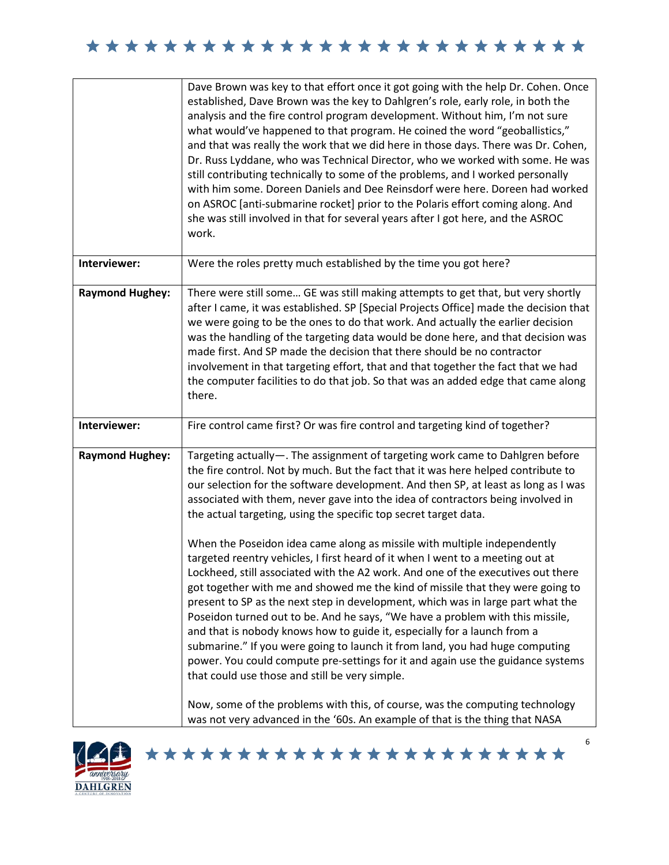|                        | Dave Brown was key to that effort once it got going with the help Dr. Cohen. Once<br>established, Dave Brown was the key to Dahlgren's role, early role, in both the<br>analysis and the fire control program development. Without him, I'm not sure<br>what would've happened to that program. He coined the word "geoballistics,"<br>and that was really the work that we did here in those days. There was Dr. Cohen,<br>Dr. Russ Lyddane, who was Technical Director, who we worked with some. He was<br>still contributing technically to some of the problems, and I worked personally<br>with him some. Doreen Daniels and Dee Reinsdorf were here. Doreen had worked<br>on ASROC [anti-submarine rocket] prior to the Polaris effort coming along. And<br>she was still involved in that for several years after I got here, and the ASROC<br>work.                                                                                                                                                                                                                                                                                                                                                                                                                                                                                                                              |
|------------------------|------------------------------------------------------------------------------------------------------------------------------------------------------------------------------------------------------------------------------------------------------------------------------------------------------------------------------------------------------------------------------------------------------------------------------------------------------------------------------------------------------------------------------------------------------------------------------------------------------------------------------------------------------------------------------------------------------------------------------------------------------------------------------------------------------------------------------------------------------------------------------------------------------------------------------------------------------------------------------------------------------------------------------------------------------------------------------------------------------------------------------------------------------------------------------------------------------------------------------------------------------------------------------------------------------------------------------------------------------------------------------------------|
| Interviewer:           | Were the roles pretty much established by the time you got here?                                                                                                                                                                                                                                                                                                                                                                                                                                                                                                                                                                                                                                                                                                                                                                                                                                                                                                                                                                                                                                                                                                                                                                                                                                                                                                                         |
| <b>Raymond Hughey:</b> | There were still some GE was still making attempts to get that, but very shortly<br>after I came, it was established. SP [Special Projects Office] made the decision that<br>we were going to be the ones to do that work. And actually the earlier decision<br>was the handling of the targeting data would be done here, and that decision was<br>made first. And SP made the decision that there should be no contractor<br>involvement in that targeting effort, that and that together the fact that we had<br>the computer facilities to do that job. So that was an added edge that came along<br>there.                                                                                                                                                                                                                                                                                                                                                                                                                                                                                                                                                                                                                                                                                                                                                                          |
| Interviewer:           | Fire control came first? Or was fire control and targeting kind of together?                                                                                                                                                                                                                                                                                                                                                                                                                                                                                                                                                                                                                                                                                                                                                                                                                                                                                                                                                                                                                                                                                                                                                                                                                                                                                                             |
| <b>Raymond Hughey:</b> | Targeting actually-. The assignment of targeting work came to Dahlgren before<br>the fire control. Not by much. But the fact that it was here helped contribute to<br>our selection for the software development. And then SP, at least as long as I was<br>associated with them, never gave into the idea of contractors being involved in<br>the actual targeting, using the specific top secret target data.<br>When the Poseidon idea came along as missile with multiple independently<br>targeted reentry vehicles, I first heard of it when I went to a meeting out at<br>Lockheed, still associated with the A2 work. And one of the executives out there<br>got together with me and showed me the kind of missile that they were going to<br>present to SP as the next step in development, which was in large part what the<br>Poseidon turned out to be. And he says, "We have a problem with this missile,<br>and that is nobody knows how to guide it, especially for a launch from a<br>submarine." If you were going to launch it from land, you had huge computing<br>power. You could compute pre-settings for it and again use the guidance systems<br>that could use those and still be very simple.<br>Now, some of the problems with this, of course, was the computing technology<br>was not very advanced in the '60s. An example of that is the thing that NASA |

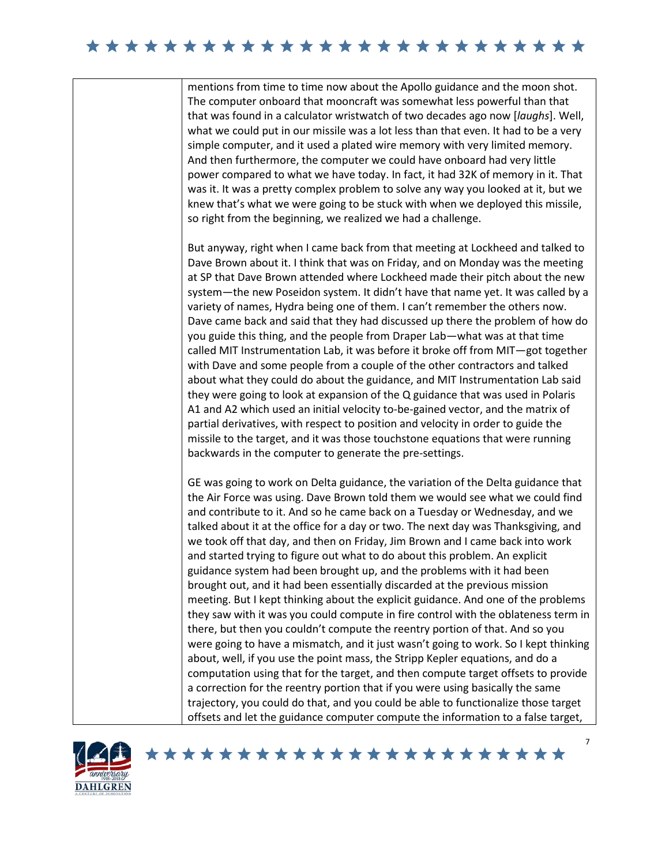## 

mentions from time to time now about the Apollo guidance and the moon shot. The computer onboard that mooncraft was somewhat less powerful than that that was found in a calculator wristwatch of two decades ago now [*laughs*]. Well, what we could put in our missile was a lot less than that even. It had to be a very simple computer, and it used a plated wire memory with very limited memory. And then furthermore, the computer we could have onboard had very little power compared to what we have today. In fact, it had 32K of memory in it. That was it. It was a pretty complex problem to solve any way you looked at it, but we knew that's what we were going to be stuck with when we deployed this missile, so right from the beginning, we realized we had a challenge.

But anyway, right when I came back from that meeting at Lockheed and talked to Dave Brown about it. I think that was on Friday, and on Monday was the meeting at SP that Dave Brown attended where Lockheed made their pitch about the new system—the new Poseidon system. It didn't have that name yet. It was called by a variety of names, Hydra being one of them. I can't remember the others now. Dave came back and said that they had discussed up there the problem of how do you guide this thing, and the people from Draper Lab—what was at that time called MIT Instrumentation Lab, it was before it broke off from MIT—got together with Dave and some people from a couple of the other contractors and talked about what they could do about the guidance, and MIT Instrumentation Lab said they were going to look at expansion of the Q guidance that was used in Polaris A1 and A2 which used an initial velocity to-be-gained vector, and the matrix of partial derivatives, with respect to position and velocity in order to guide the missile to the target, and it was those touchstone equations that were running backwards in the computer to generate the pre-settings.

GE was going to work on Delta guidance, the variation of the Delta guidance that the Air Force was using. Dave Brown told them we would see what we could find and contribute to it. And so he came back on a Tuesday or Wednesday, and we talked about it at the office for a day or two. The next day was Thanksgiving, and we took off that day, and then on Friday, Jim Brown and I came back into work and started trying to figure out what to do about this problem. An explicit guidance system had been brought up, and the problems with it had been brought out, and it had been essentially discarded at the previous mission meeting. But I kept thinking about the explicit guidance. And one of the problems they saw with it was you could compute in fire control with the oblateness term in there, but then you couldn't compute the reentry portion of that. And so you were going to have a mismatch, and it just wasn't going to work. So I kept thinking about, well, if you use the point mass, the Stripp Kepler equations, and do a computation using that for the target, and then compute target offsets to provide a correction for the reentry portion that if you were using basically the same trajectory, you could do that, and you could be able to functionalize those target offsets and let the guidance computer compute the information to a false target,

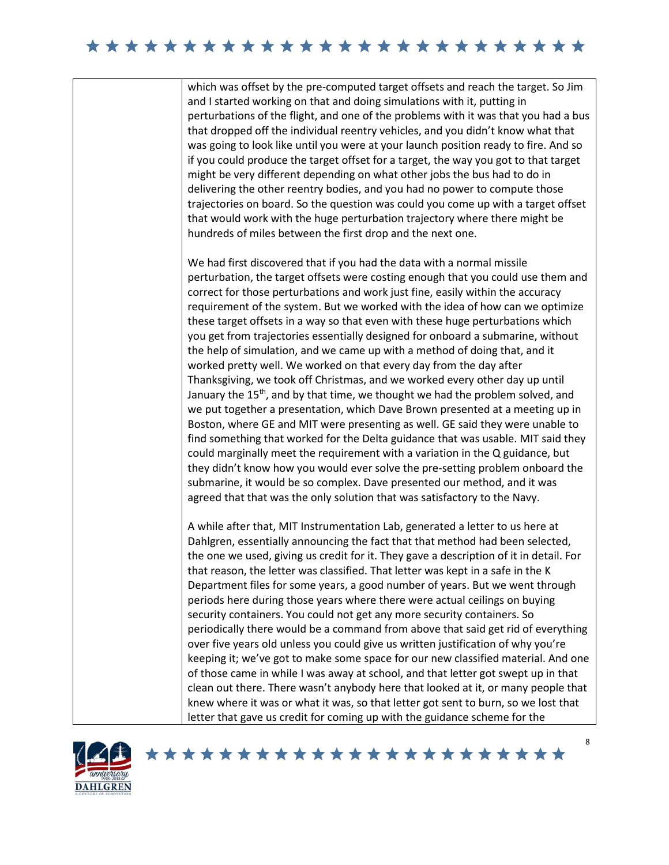## 

which was offset by the pre-computed target offsets and reach the target. So Jim and I started working on that and doing simulations with it, putting in perturbations of the flight, and one of the problems with it was that you had a bus that dropped off the individual reentry vehicles, and you didn't know what that was going to look like until you were at your launch position ready to fire. And so if you could produce the target offset for a target, the way you got to that target might be very different depending on what other jobs the bus had to do in delivering the other reentry bodies, and you had no power to compute those trajectories on board. So the question was could you come up with a target offset that would work with the huge perturbation trajectory where there might be hundreds of miles between the first drop and the next one.

We had first discovered that if you had the data with a normal missile perturbation, the target offsets were costing enough that you could use them and correct for those perturbations and work just fine, easily within the accuracy requirement of the system. But we worked with the idea of how can we optimize these target offsets in a way so that even with these huge perturbations which you get from trajectories essentially designed for onboard a submarine, without the help of simulation, and we came up with a method of doing that, and it worked pretty well. We worked on that every day from the day after Thanksgiving, we took off Christmas, and we worked every other day up until January the 15<sup>th</sup>, and by that time, we thought we had the problem solved, and we put together a presentation, which Dave Brown presented at a meeting up in Boston, where GE and MIT were presenting as well. GE said they were unable to find something that worked for the Delta guidance that was usable. MIT said they could marginally meet the requirement with a variation in the Q guidance, but they didn't know how you would ever solve the pre-setting problem onboard the submarine, it would be so complex. Dave presented our method, and it was agreed that that was the only solution that was satisfactory to the Navy.

A while after that, MIT Instrumentation Lab, generated a letter to us here at Dahlgren, essentially announcing the fact that that method had been selected, the one we used, giving us credit for it. They gave a description of it in detail. For that reason, the letter was classified. That letter was kept in a safe in the K Department files for some years, a good number of years. But we went through periods here during those years where there were actual ceilings on buying security containers. You could not get any more security containers. So periodically there would be a command from above that said get rid of everything over five years old unless you could give us written justification of why you're keeping it; we've got to make some space for our new classified material. And one of those came in while I was away at school, and that letter got swept up in that clean out there. There wasn't anybody here that looked at it, or many people that knew where it was or what it was, so that letter got sent to burn, so we lost that letter that gave us credit for coming up with the guidance scheme for the

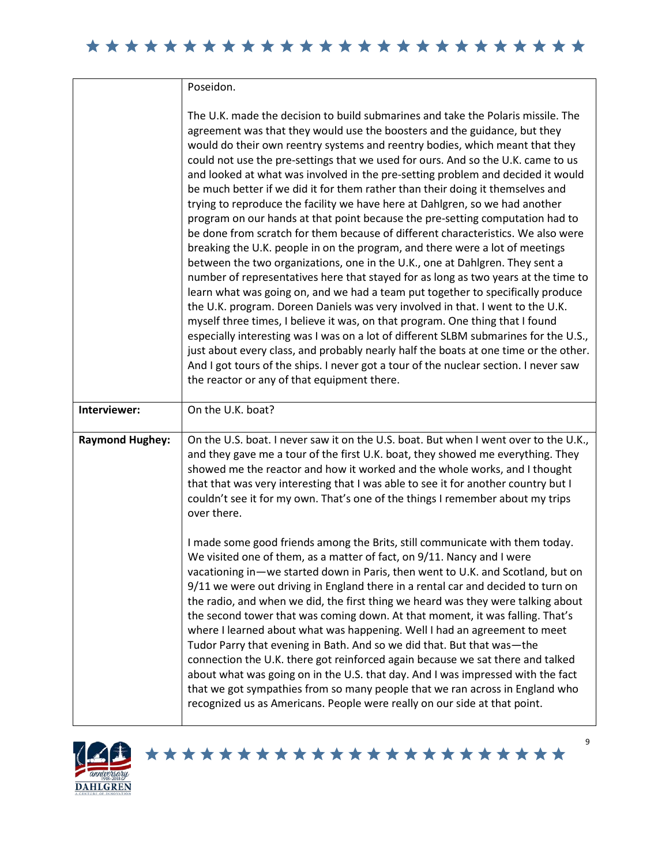Poseidon.

|                        | The U.K. made the decision to build submarines and take the Polaris missile. The<br>agreement was that they would use the boosters and the guidance, but they<br>would do their own reentry systems and reentry bodies, which meant that they<br>could not use the pre-settings that we used for ours. And so the U.K. came to us<br>and looked at what was involved in the pre-setting problem and decided it would<br>be much better if we did it for them rather than their doing it themselves and<br>trying to reproduce the facility we have here at Dahlgren, so we had another<br>program on our hands at that point because the pre-setting computation had to<br>be done from scratch for them because of different characteristics. We also were<br>breaking the U.K. people in on the program, and there were a lot of meetings<br>between the two organizations, one in the U.K., one at Dahlgren. They sent a<br>number of representatives here that stayed for as long as two years at the time to<br>learn what was going on, and we had a team put together to specifically produce<br>the U.K. program. Doreen Daniels was very involved in that. I went to the U.K.<br>myself three times, I believe it was, on that program. One thing that I found<br>especially interesting was I was on a lot of different SLBM submarines for the U.S.,<br>just about every class, and probably nearly half the boats at one time or the other.<br>And I got tours of the ships. I never got a tour of the nuclear section. I never saw<br>the reactor or any of that equipment there. |
|------------------------|------------------------------------------------------------------------------------------------------------------------------------------------------------------------------------------------------------------------------------------------------------------------------------------------------------------------------------------------------------------------------------------------------------------------------------------------------------------------------------------------------------------------------------------------------------------------------------------------------------------------------------------------------------------------------------------------------------------------------------------------------------------------------------------------------------------------------------------------------------------------------------------------------------------------------------------------------------------------------------------------------------------------------------------------------------------------------------------------------------------------------------------------------------------------------------------------------------------------------------------------------------------------------------------------------------------------------------------------------------------------------------------------------------------------------------------------------------------------------------------------------------------------------------------------------------------------------------------------|
| Interviewer:           | On the U.K. boat?                                                                                                                                                                                                                                                                                                                                                                                                                                                                                                                                                                                                                                                                                                                                                                                                                                                                                                                                                                                                                                                                                                                                                                                                                                                                                                                                                                                                                                                                                                                                                                              |
| <b>Raymond Hughey:</b> | On the U.S. boat. I never saw it on the U.S. boat. But when I went over to the U.K.,<br>and they gave me a tour of the first U.K. boat, they showed me everything. They<br>showed me the reactor and how it worked and the whole works, and I thought<br>that that was very interesting that I was able to see it for another country but I<br>couldn't see it for my own. That's one of the things I remember about my trips<br>over there.<br>I made some good friends among the Brits, still communicate with them today.<br>We visited one of them, as a matter of fact, on 9/11. Nancy and I were<br>vacationing in-we started down in Paris, then went to U.K. and Scotland, but on<br>9/11 we were out driving in England there in a rental car and decided to turn on<br>the radio, and when we did, the first thing we heard was they were talking about<br>the second tower that was coming down. At that moment, it was falling. That's<br>where I learned about what was happening. Well I had an agreement to meet<br>Tudor Parry that evening in Bath. And so we did that. But that was-the<br>connection the U.K. there got reinforced again because we sat there and talked<br>about what was going on in the U.S. that day. And I was impressed with the fact<br>that we got sympathies from so many people that we ran across in England who<br>recognized us as Americans. People were really on our side at that point.                                                                                                                                                    |



\*\*\*\*\*\*\*\*\*\*\*\*\*\*\*\*\*\*\*\*\*\*\*

9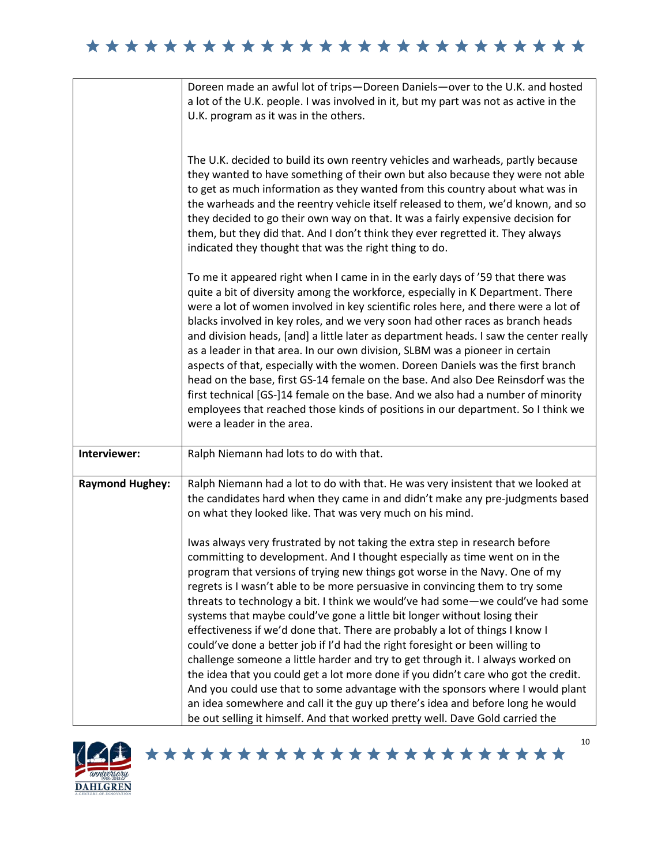|                        | Doreen made an awful lot of trips-Doreen Daniels-over to the U.K. and hosted<br>a lot of the U.K. people. I was involved in it, but my part was not as active in the<br>U.K. program as it was in the others.                                                                                                                                                                                                                                                                                                                                                                                                                                                                                                                                                                                                                                                                                                                                                                                                                                                                          |
|------------------------|----------------------------------------------------------------------------------------------------------------------------------------------------------------------------------------------------------------------------------------------------------------------------------------------------------------------------------------------------------------------------------------------------------------------------------------------------------------------------------------------------------------------------------------------------------------------------------------------------------------------------------------------------------------------------------------------------------------------------------------------------------------------------------------------------------------------------------------------------------------------------------------------------------------------------------------------------------------------------------------------------------------------------------------------------------------------------------------|
|                        | The U.K. decided to build its own reentry vehicles and warheads, partly because<br>they wanted to have something of their own but also because they were not able<br>to get as much information as they wanted from this country about what was in<br>the warheads and the reentry vehicle itself released to them, we'd known, and so<br>they decided to go their own way on that. It was a fairly expensive decision for<br>them, but they did that. And I don't think they ever regretted it. They always<br>indicated they thought that was the right thing to do.                                                                                                                                                                                                                                                                                                                                                                                                                                                                                                                 |
|                        | To me it appeared right when I came in in the early days of '59 that there was<br>quite a bit of diversity among the workforce, especially in K Department. There<br>were a lot of women involved in key scientific roles here, and there were a lot of<br>blacks involved in key roles, and we very soon had other races as branch heads<br>and division heads, [and] a little later as department heads. I saw the center really<br>as a leader in that area. In our own division, SLBM was a pioneer in certain<br>aspects of that, especially with the women. Doreen Daniels was the first branch<br>head on the base, first GS-14 female on the base. And also Dee Reinsdorf was the<br>first technical [GS-]14 female on the base. And we also had a number of minority<br>employees that reached those kinds of positions in our department. So I think we<br>were a leader in the area.                                                                                                                                                                                        |
| Interviewer:           | Ralph Niemann had lots to do with that.                                                                                                                                                                                                                                                                                                                                                                                                                                                                                                                                                                                                                                                                                                                                                                                                                                                                                                                                                                                                                                                |
| <b>Raymond Hughey:</b> | Ralph Niemann had a lot to do with that. He was very insistent that we looked at<br>the candidates hard when they came in and didn't make any pre-judgments based<br>on what they looked like. That was very much on his mind.                                                                                                                                                                                                                                                                                                                                                                                                                                                                                                                                                                                                                                                                                                                                                                                                                                                         |
|                        | Iwas always very frustrated by not taking the extra step in research before<br>committing to development. And I thought especially as time went on in the<br>program that versions of trying new things got worse in the Navy. One of my<br>regrets is I wasn't able to be more persuasive in convincing them to try some<br>threats to technology a bit. I think we would've had some-we could've had some<br>systems that maybe could've gone a little bit longer without losing their<br>effectiveness if we'd done that. There are probably a lot of things I know I<br>could've done a better job if I'd had the right foresight or been willing to<br>challenge someone a little harder and try to get through it. I always worked on<br>the idea that you could get a lot more done if you didn't care who got the credit.<br>And you could use that to some advantage with the sponsors where I would plant<br>an idea somewhere and call it the guy up there's idea and before long he would<br>be out selling it himself. And that worked pretty well. Dave Gold carried the |



\*\*\*\*\*\*\*\*\*\*\*\*\*\*\*\*\*\*\*\*\*\*\*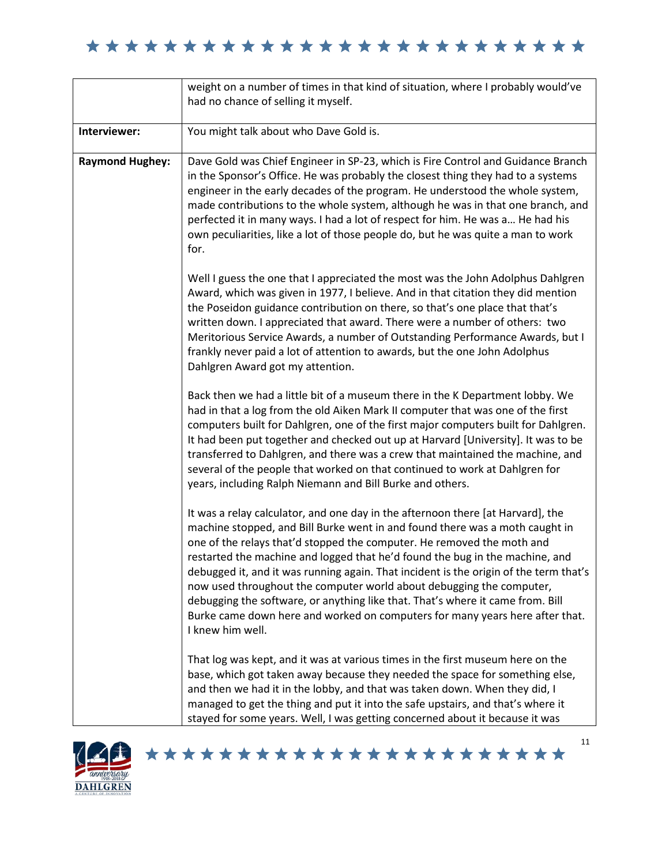|                        | weight on a number of times in that kind of situation, where I probably would've<br>had no chance of selling it myself.                                                                                                                                                                                                                                                                                                                                                                                                                                                                                                                                                          |
|------------------------|----------------------------------------------------------------------------------------------------------------------------------------------------------------------------------------------------------------------------------------------------------------------------------------------------------------------------------------------------------------------------------------------------------------------------------------------------------------------------------------------------------------------------------------------------------------------------------------------------------------------------------------------------------------------------------|
| Interviewer:           | You might talk about who Dave Gold is.                                                                                                                                                                                                                                                                                                                                                                                                                                                                                                                                                                                                                                           |
| <b>Raymond Hughey:</b> | Dave Gold was Chief Engineer in SP-23, which is Fire Control and Guidance Branch<br>in the Sponsor's Office. He was probably the closest thing they had to a systems<br>engineer in the early decades of the program. He understood the whole system,<br>made contributions to the whole system, although he was in that one branch, and<br>perfected it in many ways. I had a lot of respect for him. He was a He had his<br>own peculiarities, like a lot of those people do, but he was quite a man to work<br>for.                                                                                                                                                           |
|                        | Well I guess the one that I appreciated the most was the John Adolphus Dahlgren<br>Award, which was given in 1977, I believe. And in that citation they did mention<br>the Poseidon guidance contribution on there, so that's one place that that's<br>written down. I appreciated that award. There were a number of others: two<br>Meritorious Service Awards, a number of Outstanding Performance Awards, but I<br>frankly never paid a lot of attention to awards, but the one John Adolphus<br>Dahlgren Award got my attention.                                                                                                                                             |
|                        | Back then we had a little bit of a museum there in the K Department lobby. We<br>had in that a log from the old Aiken Mark II computer that was one of the first<br>computers built for Dahlgren, one of the first major computers built for Dahlgren.<br>It had been put together and checked out up at Harvard [University]. It was to be<br>transferred to Dahlgren, and there was a crew that maintained the machine, and<br>several of the people that worked on that continued to work at Dahlgren for<br>years, including Ralph Niemann and Bill Burke and others.                                                                                                        |
|                        | It was a relay calculator, and one day in the afternoon there [at Harvard], the<br>machine stopped, and Bill Burke went in and found there was a moth caught in<br>one of the relays that'd stopped the computer. He removed the moth and<br>restarted the machine and logged that he'd found the bug in the machine, and<br>debugged it, and it was running again. That incident is the origin of the term that's<br>now used throughout the computer world about debugging the computer,<br>debugging the software, or anything like that. That's where it came from. Bill<br>Burke came down here and worked on computers for many years here after that.<br>I knew him well. |
|                        | That log was kept, and it was at various times in the first museum here on the<br>base, which got taken away because they needed the space for something else,<br>and then we had it in the lobby, and that was taken down. When they did, I<br>managed to get the thing and put it into the safe upstairs, and that's where it<br>stayed for some years. Well, I was getting concerned about it because it was                                                                                                                                                                                                                                                                  |

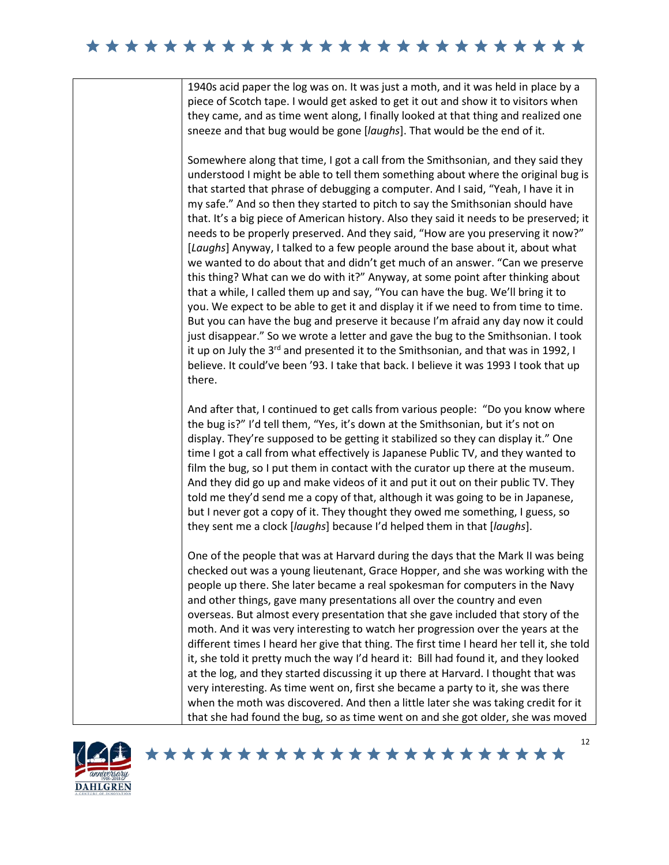1940s acid paper the log was on. It was just a moth, and it was held in place by a piece of Scotch tape. I would get asked to get it out and show it to visitors when they came, and as time went along, I finally looked at that thing and realized one sneeze and that bug would be gone [*laughs*]. That would be the end of it.

Somewhere along that time, I got a call from the Smithsonian, and they said they understood I might be able to tell them something about where the original bug is that started that phrase of debugging a computer. And I said, "Yeah, I have it in my safe." And so then they started to pitch to say the Smithsonian should have that. It's a big piece of American history. Also they said it needs to be preserved; it needs to be properly preserved. And they said, "How are you preserving it now?" [*Laughs*] Anyway, I talked to a few people around the base about it, about what we wanted to do about that and didn't get much of an answer. "Can we preserve this thing? What can we do with it?" Anyway, at some point after thinking about that a while, I called them up and say, "You can have the bug. We'll bring it to you. We expect to be able to get it and display it if we need to from time to time. But you can have the bug and preserve it because I'm afraid any day now it could just disappear." So we wrote a letter and gave the bug to the Smithsonian. I took it up on July the 3<sup>rd</sup> and presented it to the Smithsonian, and that was in 1992, I believe. It could've been '93. I take that back. I believe it was 1993 I took that up there.

And after that, I continued to get calls from various people: "Do you know where the bug is?" I'd tell them, "Yes, it's down at the Smithsonian, but it's not on display. They're supposed to be getting it stabilized so they can display it." One time I got a call from what effectively is Japanese Public TV, and they wanted to film the bug, so I put them in contact with the curator up there at the museum. And they did go up and make videos of it and put it out on their public TV. They told me they'd send me a copy of that, although it was going to be in Japanese, but I never got a copy of it. They thought they owed me something, I guess, so they sent me a clock [*laughs*] because I'd helped them in that [*laughs*].

One of the people that was at Harvard during the days that the Mark II was being checked out was a young lieutenant, Grace Hopper, and she was working with the people up there. She later became a real spokesman for computers in the Navy and other things, gave many presentations all over the country and even overseas. But almost every presentation that she gave included that story of the moth. And it was very interesting to watch her progression over the years at the different times I heard her give that thing. The first time I heard her tell it, she told it, she told it pretty much the way I'd heard it: Bill had found it, and they looked at the log, and they started discussing it up there at Harvard. I thought that was very interesting. As time went on, first she became a party to it, she was there when the moth was discovered. And then a little later she was taking credit for it that she had found the bug, so as time went on and she got older, she was moved